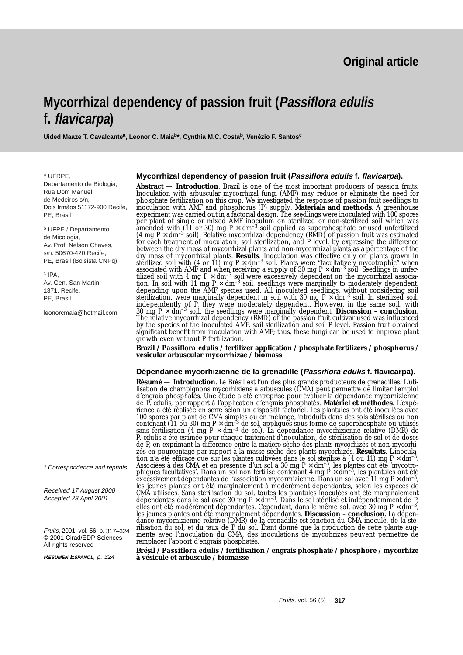## **Original article**

# **Mycorrhizal dependency of passion fruit (Passiflora edulis f. flavicarpa)**

Uided Maaze T. Cavalcante<sup>a</sup>, Leonor C. Maia<sup>b\*</sup>, Cynthia M.C. Costa<sup>b</sup>, Venézio F. Santos<sup>c</sup>

<sup>a</sup> UFRPE,

Departamento de Biologia, Rua Dom Manuel de Medeiros s/n, Dois Irmãos 51172-900 Recife, PE, Brasil

<sup>b</sup> UFPE / Departamento de Micologia, Av. Prof. Nelson Chaves, s/n. 50670-420 Recife, PE, Brasil (Bolsista CNPq)

<sup>c</sup> IPA, Av. Gen. San Martin, 1371. Recife, PE, Brasil

leonorcmaia@hotmail.com

**Mycorrhizal dependency of passion fruit (Passiflora edulis f. flavicarpa).**

**Abstract** — **Introduction**. Brazil is one of the most important producers of passion fruits. Inoculation with arbuscular mycorrhizal fungi (AMF) may reduce or eliminate the need for phosphate fertilization on this crop. We investigated the response of passion fruit seedlings to inoculation with AMF and phosphorus (P) supply. **Materials and methods**. A greenhouse experiment was carried out in a factorial design. The seedlings were inoculated with 100 spores per plant of single or mixed AMF inoculum on sterilized or non-sterilized soil which was per plant of single or mixed AMF inoculum on sterilized or non-sterilized soli which was<br>amended with (11 or 30) mg  $P \times dm^{-3}$  soil applied as superphosphate or used unfertilized<br>(4 mg  $P \times dm^{-3}$  soil). Relative mycorrhizal between the dry mass of mycorrhizal plants and non-mycorrhizal plants as a percentage of the dry mass of mycorrhizal plants. **Results**. Inoculation was effective only on plants grown in<br>sterilized soil with (4 or 11) mg  $P \times dm^{-3}$  soil. Plants were "facultatively mycotrophic" when<br>associated with AMF and when rece sterilization, were marginally dependent in soil with 30 mg P  $\times$  dm<sup>-3</sup> soil. In sterilized soil, independently of P, they were moderately dependent. However, in the same soil, with<br>30 mg P × dm<sup>-3</sup> soil, the seedlings were marginally dependent. **Discussion – conclusion**.<br>The relative mycorrhizal dependency (RMD) of th by the species of the inoculated AMF, soil sterilization and soil P level. Passion fruit obtained significant benefit from inoculation with AMF; thus, these fungi can be used to improve plant growth even without P fertilization.

**Brazil /** *Passiflora edulis* **/ fertilizer application / phosphate fertilizers / phosphorus / vesicular arbuscular mycorrhizae / biomass**

#### **Dépendance mycorhizienne de la grenadille (Passiflora edulis f. flavicarpa).**

**Résumé — Introduction**. Le Brésil est l'un des plus grands producteurs de grenadilles. L'uti-<br>lisation de champignons mycorhiziens à arbuscules (CMA) peut permettre de limiter l'emploi d'engrais phosphatés. Une étude a été entreprise pour évaluer la dépendance mycorhizienne de *P. edulis*, par rapport à l'application d'engrais phosphatés. **Matériel et méthodes**. L'expérience a été réalisée en serre selon un dispositif factoriel. Les plantules ont été inoculées avec 100 spores par plant de CMA simples ou en mélange, introduits dans des sols stérilisés ou non<br>contenant (11 ou 30) mg P × dm<sup>-3</sup> de sol, appliqués sous forme de superphosphate ou utilisés<br>sans fertilisation (4 mg P × dm<sup>-</sup> P, edulis a été estimée pour chaque traitement d'inoculation, de stérilisation de sol et de doses de P, en exprimant la différence entre la matière sèche des plants mycorhizés et non mycorhizés en pourcentage par rapport à la masse sèche des plants mycorhizés. **Résultats**. L'inocula-From the definement of the plantes cultivées dans le sol stérilisé à (4 ou 11) mg P × dm<sup>-3</sup>.<br>Associées à des CMA et en présence d'un sol à 30 mg P × dm<sup>-3</sup>, les plantes ont été 'mycotrophiques facultatives'. Dans un sol les jeunes plantes ont été marginalement à modérément dépendantes, selon les espèces de CMA utilisées. Sans stérilisation du sol, toutes les plantules inoculées ont été marginalement dépendantes dans le sol avec 30 mg P × dm–3. Dans le sol stérilisé et indépendamment de P, elles ont été modérément dépendantes. Cependant, dans le même sol, avec 30 mg P × dm<sup>-3</sup>,<br>les jeunes plantes ont été marginalement dépendantes. **Discussion** – **conclusion**. La dépendance mycorhizienne relative (DMR) de la rilisation du sol, et du taux de P du sol. Étant donné que la production de cette plante augmente avec l'inoculation du CMA, des inoculations de mycohrizes peuvent permettre de remplacer l'apport d'engrais phosphatés.

**Brésil /** *Passiflora edulis* **/ fertilisation / engrais phosphaté / phosphore / mycorhize à vésicule et arbuscule / biomasse**

\* Correspondence and reprints

Received 17 August 2000 Accepted 23 April 2001

Fruits, 2001, vol. 56, p. 317–324 © 2001 Cirad/EDP Sciences All rights reserved

**RESUMEN ESPAÑOL**, p. 324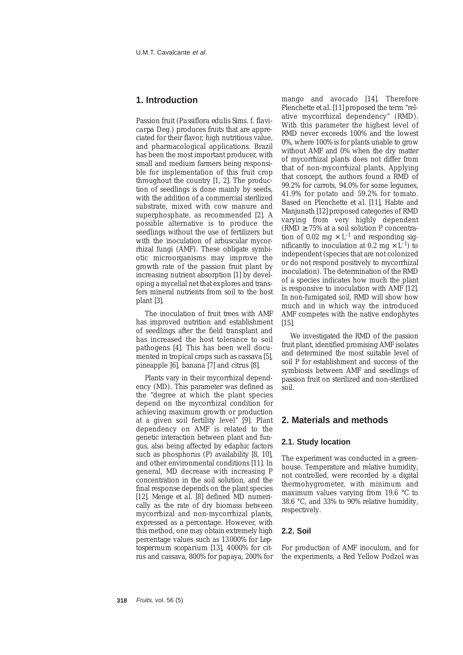## **1. Introduction**

Passion fruit (*Passiflora edulis* Sims. f. *flavicarpa* Deg.) produces fruits that are appreciated for their flavor, high nutritious value, and pharmacological applications. Brazil has been the most important producer, with small and medium farmers being responsible for implementation of this fruit crop throughout the country [1, 2]. The production of seedlings is done mainly by seeds, with the addition of a commercial sterilized substrate, mixed with cow manure and superphosphate, as recommended [2]. A possible alternative is to produce the seedlings without the use of fertilizers but with the inoculation of arbuscular mycorrhizal fungi (AMF). These obligate symbiotic microorganisms may improve the growth rate of the passion fruit plant by increasing nutrient absorption [1] by developing a mycelial net that explores and transfers mineral nutrients from soil to the host plant [3].

The inoculation of fruit trees with AMF has improved nutrition and establishment of seedlings after the field transplant and has increased the host tolerance to soil pathogens [4]. This has been well documented in tropical crops such as cassava [5], pineapple [6], banana [7] and citrus [8].

Plants vary in their mycorrhizal dependency (MD). This parameter was defined as the "degree at which the plant species depend on the mycorrhizal condition for achieving maximum growth or production at a given soil fertility level" [9]. Plant dependency on AMF is related to the genetic interaction between plant and fungus, also being affected by edaphic factors such as phosphorus (P) availability [8, 10], and other environmental conditions [11]. In general, MD decrease with increasing P concentration in the soil solution, and the final response depends on the plant species [12]. Menge *et al.* [8] defined MD numerically as the rate of dry biomass between mycorrhizal and non-mycorrhizal plants, expressed as a percentage. However, with this method, one may obtain extremely high percentage values such as 13000% for *Leptospermum scoparium* [13], 4000% for citrus and cassava, 800% for papaya, 200% for

mango and avocado [14]. Therefore Plenchette *et al*. [11] proposed the term "relative mycorrhizal dependency" (RMD). With this parameter the highest level of RMD never exceeds 100% and the lowest 0%, where 100% is for plants unable to grow without AMF and 0% when the dry matter of mycorrhizal plants does not differ from that of non-mycorrhizal plants. Applying that concept, the authors found a RMD of 99.2% for carrots, 94.0% for some legumes, 41.9% for potato and 59.2% for tomato. Based on Plenchette *et al*. [11], Habte and Manjunath [12] proposed categories of RMD varying from very highly dependent (RMD  $\geq$  75% at a soil solution P concentration of 0.02 mg  $\times$  L<sup>-1</sup> and responding significantly to inoculation at 0.2 mg  $\times$  L<sup>-1</sup>) to independent (species that are not colonized or do not respond positively to mycorrhizal inoculation). The determination of the RMD of a species indicates how much the plant is responsive to inoculation with AMF [12]. In non-fumigated soil, RMD will show how much and in which way the introduced AMF competes with the native endophytes [15].

We investigated the RMD of the passion fruit plant, identified promising AMF isolates and determined the most suitable level of soil P for establishment and success of the symbiosis between AMF and seedlings of passion fruit on sterilized and non-sterilized soil.

### **2. Materials and methods**

## **2.1. Study location**

The experiment was conducted in a greenhouse. Temperature and relative humidity, not controlled, were recorded by a digital thermohygrometer, with minimum and maximum values varying from 19.6 °C to 38.6 °C, and 33% to 90% relative humidity, respectively.

#### **2.2. Soil**

For production of AMF inoculum, and for the experiments, a Red Yellow Podzol was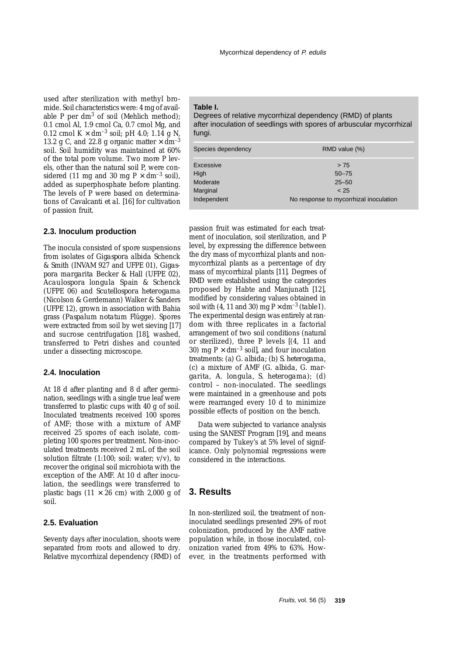used after sterilization with methyl bromide. Soil characteristics were: 4 mg of available P per dm<sup>3</sup> of soil (Mehlich method); 0.1 cmol Al, 1.9 cmol Ca, 0.7 cmol Mg, and 0.12 cmol  $K \times dm^{-3}$  soil; pH 4.0; 1.14 g N, 13.2 g C, and 22.8 g organic matter  $\times$  dm<sup>-3</sup> soil. Soil humidity was maintained at 60% of the total pore volume. Two more P levels, other than the natural soil P, were considered (11 mg and 30 mg  $P \times dm^{-3}$  soil), added as superphosphate before planting. The levels of P were based on determinations of Cavalcanti *et al*. [16] for cultivation of passion fruit.

#### **2.3. Inoculum production**

The inocula consisted of spore suspensions from isolates of *Gigaspora albida* Schenck & Smith (INVAM 927 and UFPE 01), *Gigaspora margarita* Becker & Hall (UFPE 02), *Acaulospora longula* Spain & Schenck (UFPE 06) and *Scutellospora heterogama* (Nicolson & Gerdemann) Walker & Sanders (UFPE 12), grown in association with Bahia grass (*Paspalum notatum* Flügge). Spores were extracted from soil by wet sieving [17] and sucrose centrifugation [18], washed, transferred to Petri dishes and counted under a dissecting microscope.

#### **2.4. Inoculation**

At 18 d after planting and 8 d after germination, seedlings with a single true leaf were transferred to plastic cups with 40 g of soil. Inoculated treatments received 100 spores of AMF; those with a mixture of AMF received 25 spores of each isolate, completing 100 spores per treatment. Non-inoculated treatments received 2 mL of the soil solution filtrate  $(1:100;$  soil: water;  $v/v$ ), to recover the original soil microbiota with the exception of the AMF. At 10 d after inoculation, the seedlings were transferred to plastic bags  $(11 \times 26$  cm) with 2,000 g of soil.

#### **2.5. Evaluation**

Seventy days after inoculation, shoots were separated from roots and allowed to dry. Relative mycorrhizal dependency (RMD) of

#### **Table I.**

Degrees of relative mycorrhizal dependency (RMD) of plants after inoculation of seedlings with spores of arbuscular mycorrhizal fungi.

| Species dependency | RMD value (%)                          |
|--------------------|----------------------------------------|
| Excessive          | > 75                                   |
| High               | $50 - 75$                              |
| Moderate           | $25 - 50$                              |
| Marginal           | < 25                                   |
| Independent        | No response to mycorrhizal inoculation |

passion fruit was estimated for each treatment of inoculation, soil sterilization, and P level, by expressing the difference between the dry mass of mycorrhizal plants and nonmycorrhizal plants as a percentage of dry mass of mycorrhizal plants [11]. Degrees of RMD were established using the categories proposed by Habte and Manjunath [12], modified by considering values obtained in soil with (4, 11 and 30) mg  $P \times dm^{-3}$  (*table I*). The experimental design was entirely at random with three replicates in a factorial arrangement of two soil conditions (natural or sterilized), three P levels [(4, 11 and 30) mg  $P \times dm^{-3}$  soil, and four inoculation treatments: (a) *G. albida;* (b) *S. heterogama*, (c) a mixture of AMF (*G. albida, G. margarita*, *A. longula, S. heterogama*); (d) control – non-inoculated. The seedlings were maintained in a greenhouse and pots were rearranged every 10 d to minimize possible effects of position on the bench.

Data were subjected to variance analysis using the SANEST Program [19], and means compared by Tukey's at 5% level of significance. Only polynomial regressions were considered in the interactions.

#### **3. Results**

In non-sterilized soil, the treatment of noninoculated seedlings presented 29% of root colonization, produced by the AMF native population while, in those inoculated, colonization varied from 49% to 63%. However, in the treatments performed with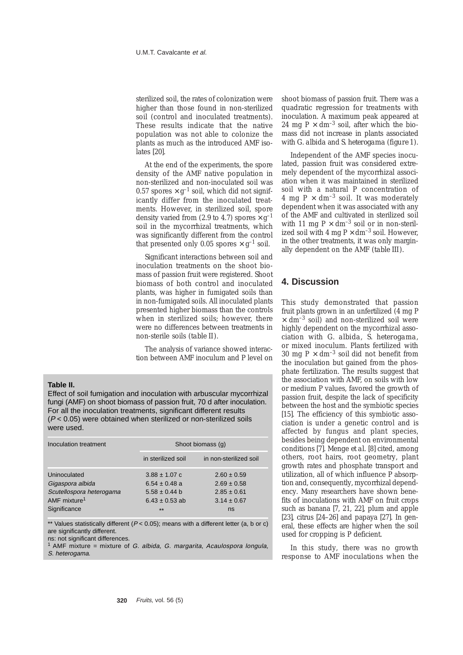sterilized soil, the rates of colonization were higher than those found in non-sterilized soil (control and inoculated treatments). These results indicate that the native population was not able to colonize the plants as much as the introduced AMF isolates [20].

At the end of the experiments, the spore density of the AMF native population in non-sterilized and non-inoculated soil was 0.57 spores  $\times$  g<sup>-1</sup> soil, which did not significantly differ from the inoculated treatments. However, in sterilized soil, spore density varied from (2.9 to 4.7) spores  $\times$  g<sup>-1</sup> soil in the mycorrhizal treatments, which was significantly different from the control that presented only 0.05 spores  $\times$  g<sup>-1</sup> soil.

Significant interactions between soil and inoculation treatments on the shoot biomass of passion fruit were registered. Shoot biomass of both control and inoculated plants, was higher in fumigated soils than in non-fumigated soils. All inoculated plants presented higher biomass than the controls when in sterilized soils; however, there were no differences between treatments in non-sterile soils (*table II*).

The analysis of variance showed interaction between AMF inoculum and P level on

#### **Table II.**

Effect of soil fumigation and inoculation with arbuscular mycorrhizal fungi (AMF) on shoot biomass of passion fruit, 70 d after inoculation. For all the inoculation treatments, significant different results  $(P < 0.05)$  were obtained when sterilized or non-sterilized soils were used.

| Inoculation treatment                                                                                    | Shoot biomass (q)                                                                          |                                                                                |  |  |  |  |
|----------------------------------------------------------------------------------------------------------|--------------------------------------------------------------------------------------------|--------------------------------------------------------------------------------|--|--|--|--|
|                                                                                                          | in sterilized soil                                                                         | in non-sterilized soil                                                         |  |  |  |  |
| Uninoculated<br>Gigaspora albida<br>Scutellospora heterogama<br>AMF mixture <sup>1</sup><br>Significance | $3.88 \pm 1.07$ c<br>$6.54 \pm 0.48$ a<br>$5.58 \pm 0.44$ b<br>$6.43 \pm 0.53$ ab<br>$***$ | $2.60 \pm 0.59$<br>$2.69 \pm 0.58$<br>$2.85 \pm 0.61$<br>$3.14 \pm 0.67$<br>ns |  |  |  |  |

\*\* Values statistically different  $(P < 0.05)$ ; means with a different letter (a, b or c) are significantly different.

ns: not significant differences.

<sup>1</sup> AMF mixture = mixture of G. albida, G. margarita, Acaulospora longula, S. heterogama.

shoot biomass of passion fruit. There was a quadratic regression for treatments with inoculation. A maximum peak appeared at 24 mg P  $\times$  dm<sup>-3</sup> soil, after which the biomass did not increase in plants associated with *G. albida* and *S. heterogama* (*figure 1*).

Independent of the AMF species inoculated, passion fruit was considered extremely dependent of the mycorrhizal association when it was maintained in sterilized soil with a natural P concentration of 4 mg P  $\times$  dm<sup>-3</sup> soil. It was moderately dependent when it was associated with any of the AMF and cultivated in sterilized soil with 11 mg  $P \times dm^{-3}$  soil or in non-sterilized soil with 4 mg  $P \times dm^{-3}$  soil. However, in the other treatments, it was only marginally dependent on the AMF (*table III*).

## **4. Discussion**

This study demonstrated that passion fruit plants grown in an unfertilized (4 mg P  $\times$  dm<sup>-3</sup> soil) and non-sterilized soil were highly dependent on the mycorrhizal association with *G. albida*, *S. heterogama*, or mixed inoculum. Plants fertilized with 30 mg P  $\times$  dm<sup>-3</sup> soil did not benefit from the inoculation but gained from the phosphate fertilization. The results suggest that the association with AMF, on soils with low or medium P values, favored the growth of passion fruit, despite the lack of specificity between the host and the symbiotic species [15]. The efficiency of this symbiotic association is under a genetic control and is affected by fungus and plant species, besides being dependent on environmental conditions [7]. Menge *et al.* [8] cited, among others, root hairs, root geometry, plant growth rates and phosphate transport and utilization, all of which influence P absorption and, consequently, mycorrhizal dependency. Many researchers have shown benefits of inoculations with AMF on fruit crops such as banana [7, 21, 22], plum and apple [23], citrus [24–26] and papaya [27]. In general, these effects are higher when the soil used for cropping is P deficient.

In this study, there was no growth response to AMF inoculations when the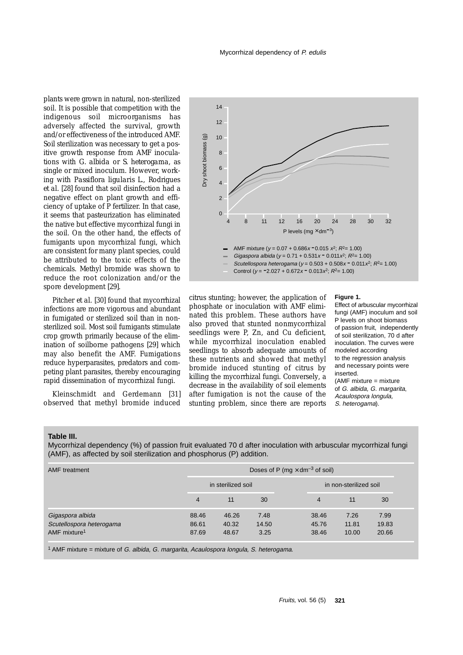plants were grown in natural, non-sterilized soil. It is possible that competition with the indigenous soil microorganisms has adversely affected the survival, growth and/or effectiveness of the introduced AMF. Soil sterilization was necessary to get a positive growth response from AMF inoculations with *G. albida* or *S. heterogama*, as single or mixed inoculum. However, working with *Passiflora ligularis* L., Rodrigues *et al.* [28] found that soil disinfection had a negative effect on plant growth and efficiency of uptake of P fertilizer. In that case, it seems that pasteurization has eliminated the native but effective mycorrhizal fungi in the soil. On the other hand, the effects of fumigants upon mycorrhizal fungi, which are consistent for many plant species, could be attributed to the toxic effects of the chemicals. Methyl bromide was shown to reduce the root colonization and/or the spore development [29].

Pitcher *et al.* [30] found that mycorrhizal infections are more vigorous and abundant in fumigated or sterilized soil than in nonsterilized soil. Most soil fumigants stimulate crop growth primarily because of the elimination of soilborne pathogens [29] which may also benefit the AMF. Fumigations reduce hyperparasites, predators and competing plant parasites, thereby encouraging rapid dissemination of mycorrhizal fungi.

Kleinschmidt and Gerdemann [31] observed that methyl bromide induced



citrus stunting; however, the application of phosphate or inoculation with AMF eliminated this problem. These authors have also proved that stunted nonmycorrhizal seedlings were P, Zn, and Cu deficient, while mycorrhizal inoculation enabled seedlings to absorb adequate amounts of these nutrients and showed that methyl bromide induced stunting of citrus by killing the mycorrhizal fungi. Conversely, a decrease in the availability of soil elements after fumigation is not the cause of the stunting problem, since there are reports

#### **Figure 1.**

Effect of arbuscular mycorrhizal fungi (AMF) inoculum and soil P levels on shoot biomass of passion fruit, independently of soil sterilization, 70 d after inoculation. The curves were modeled according to the regression analysis and necessary points were inserted.  $(AMF \text{ mixture} = mixture$ of G. albida, G. margarita, Acaulospora longula, S. heterogama).

#### **Table III.**

Mycorrhizal dependency (%) of passion fruit evaluated 70 d after inoculation with arbuscular mycorrhizal fungi (AMF), as affected by soil sterilization and phosphorus (P) addition.

| <b>AMF</b> treatment                                                     | Doses of P (mg $\times$ dm <sup>-3</sup> of soil) |                         |                       |  |                         |                        |                        |  |
|--------------------------------------------------------------------------|---------------------------------------------------|-------------------------|-----------------------|--|-------------------------|------------------------|------------------------|--|
|                                                                          | in sterilized soil                                |                         |                       |  | in non-sterilized soil  |                        |                        |  |
|                                                                          | 4                                                 | 11                      | 30                    |  | 4                       | 11                     | 30                     |  |
| Gigaspora albida<br>Scutellospora heterogama<br>AMF mixture <sup>1</sup> | 88.46<br>86.61<br>87.69                           | 46.26<br>40.32<br>48.67 | 7.48<br>14.50<br>3.25 |  | 38.46<br>45.76<br>38.46 | 7.26<br>11.81<br>10.00 | 7.99<br>19.83<br>20.66 |  |

 $1$  AMF mixture = mixture of G. albida, G. margarita, Acaulospora longula, S. heterogama.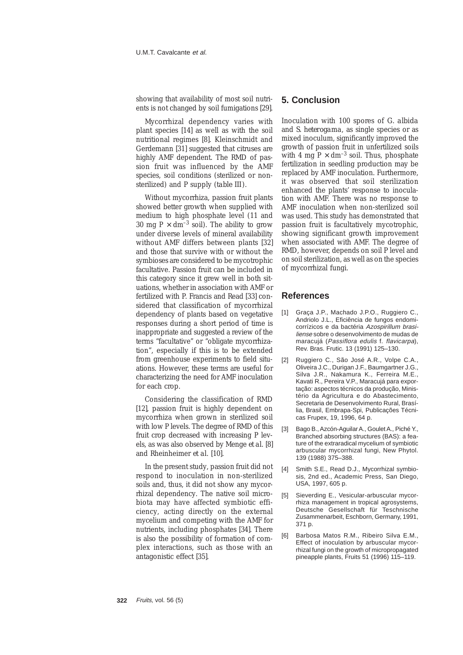showing that availability of most soil nutrients is not changed by soil fumigations [29].

Mycorrhizal dependency varies with plant species [14] as well as with the soil nutritional regimes [8]. Kleinschmidt and Gerdemann [31] suggested that citruses are highly AMF dependent. The RMD of passion fruit was influenced by the AMF species, soil conditions (sterilized or nonsterilized) and P supply (*table III*).

Without mycorrhiza, passion fruit plants showed better growth when supplied with medium to high phosphate level (11 and 30 mg P  $\times$  dm<sup>-3</sup> soil). The ability to grow under diverse levels of mineral availability without AMF differs between plants [32] and those that survive with or without the symbioses are considered to be mycotrophic facultative. Passion fruit can be included in this category since it grew well in both situations, whether in association with AMF or fertilized with P. Francis and Read [33] considered that classification of mycorrhizal dependency of plants based on vegetative responses during a short period of time is inappropriate and suggested a review of the terms "facultative" or "obligate mycorrhization", especially if this is to be extended from greenhouse experiments to field situations. However, these terms are useful for characterizing the need for AMF inoculation for each crop.

Considering the classification of RMD [12], passion fruit is highly dependent on mycorrhiza when grown in sterilized soil with low P levels. The degree of RMD of this fruit crop decreased with increasing P levels, as was also observed by Menge *et al.* [8] and Rheinheimer *et al.* [10].

In the present study, passion fruit did not respond to inoculation in non-sterilized soils and, thus, it did not show any mycorrhizal dependency. The native soil microbiota may have affected symbiotic efficiency, acting directly on the external mycelium and competing with the AMF for nutrients, including phosphates [34]. There is also the possibility of formation of complex interactions, such as those with an antagonistic effect [35].

## **5. Conclusion**

Inoculation with 100 spores of *G. albida* and *S. heterogama*, as single species or as mixed inoculum, significantly improved the growth of passion fruit in unfertilized soils with 4 mg  $P \times dm^{-3}$  soil. Thus, phosphate fertilization in seedling production may be replaced by AMF inoculation. Furthermore, it was observed that soil sterilization enhanced the plants' response to inoculation with AMF. There was no response to AMF inoculation when non-sterilized soil was used. This study has demonstrated that passion fruit is facultatively mycotrophic, showing significant growth improvement when associated with AMF. The degree of RMD, however, depends on soil P level and on soil sterilization, as well as on the species of mycorrhizal fungi.

## **References**

- [1] Graça J.P., Machado J.P.O., Ruggiero C., Andriolo J.L., Eficiência de fungos endomicorrízicos e da bactéria Azospirillum brasiliense sobre o desenvolvimento de mudas de maracujá (Passiflora edulis f. flavicarpa), Rev. Bras. Frutic. 13 (1991) 125–130.
- [2] Ruggiero C., São José A.R., Volpe C.A., Oliveira J.C., Durigan J.F., Baumgartner J.G., Silva J.R., Nakamura K., Ferreira M.E., Kavati R., Pereira V.P., Maracujá para exportação: aspectos técnicos da produção, Ministério da Agricultura e do Abastecimento, Secretaria de Desenvolvimento Rural, Brasília, Brasil, Embrapa-Spi, Publicações Técnicas Frupex, 19, 1996, 64 p.
- [3] Bago B., Azcón-Aguilar A., Goulet A., Piché Y., Branched absorbing structures (BAS): a feature of the extraradical mycelium of symbiotic arbuscular mycorrhizal fungi, New Phytol. 139 (1988) 375–388.
- [4] Smith S.E., Read D.J., Mycorrhizal symbiosis, 2nd ed., Academic Press, San Diego, USA, 1997, 605 p.
- [5] Sieverding E., Vesicular-arbuscular mycorrhiza management in tropical agrosystems, Deutsche Gesellschaft für Teschnische Zusammenarbeit, Eschborn, Germany, 1991, 371 p.
- [6] Barbosa Matos R.M., Ribeiro Silva E.M., Effect of inoculation by arbuscular mycorrhizal fungi on the growth of micropropagated pineapple plants, Fruits 51 (1996) 115–119.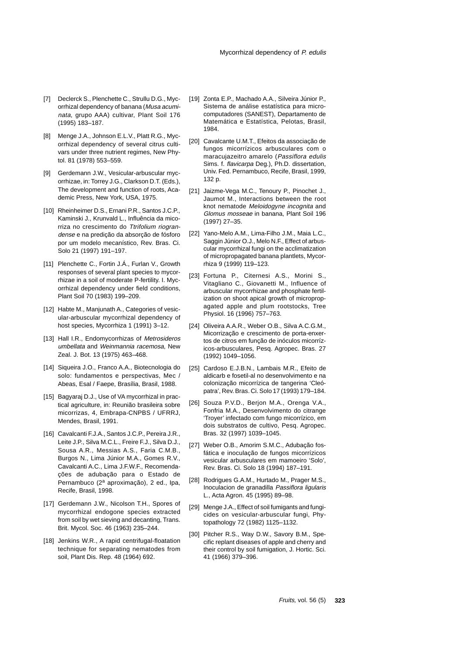- [7] Declerck S., Plenchette C., Strullu D.G., Mycorrhizal dependency of banana (Musa acuminata, grupo AAA) cultivar, Plant Soil 176 (1995) 183–187.
- [8] Menge J.A., Johnson E.L.V., Platt R.G., Mycorrhizal dependency of several citrus cultivars under three nutrient regimes, New Phytol. 81 (1978) 553–559.
- [9] Gerdemann J.W., Vesicular-arbuscular mycorrhizae, in: Torrey J.G., Clarkson D.T. (Eds.), The development and function of roots, Academic Press, New York, USA, 1975.
- [10] Rheinheimer D.S., Ernani P.R., Santos J.C.P., Kaminski J., Krunvald L., Influência da micorriza no crescimento do Ttrifolium riograndense e na predição da absorção de fósforo por um modelo mecanístico, Rev. Bras. Ci. Solo 21 (1997) 191–197.
- [11] Plenchette C., Fortin J.Á., Furlan V., Growth responses of several plant species to mycorrhizae in a soil of moderate P-fertility. I. Mycorrhizal dependency under field conditions, Plant Soil 70 (1983) 199–209.
- [12] Habte M., Manjunath A., Categories of vesicular-arbuscular mycorrhizal dependency of host species, Mycorrhiza 1 (1991) 3–12.
- [13] Hall I.R., Endomycorrhizas of Metrosideros umbellata and Weinmannia racemosa, New Zeal. J. Bot. 13 (1975) 463–468.
- [14] Siqueira J.O., Franco A.A., Biotecnologia do solo: fundamentos e perspectivas, Mec / Abeas, Esal / Faepe, Brasília, Brasil, 1988.
- [15] Bagyaraj D.J., Use of VA mycorrhizal in practical agriculture, in: Reunião brasileira sobre micorrizas, 4, Embrapa-CNPBS / UFRRJ, Mendes, Brasil, 1991.
- [16] Cavalcanti F.J.A., Santos J.C.P., Pereira J.R., Leite J.P., Silva M.C.L., Freire F.J., Silva D.J., Sousa A.R., Messias A.S., Faria C.M.B., Burgos N., Lima Júnior M.A., Gomes R.V., Cavalcanti A.C., Lima J.F.W.F., Recomendações de adubação para o Estado de Pernambuco (2ª aproximação), 2 ed., Ipa, Recife, Brasil, 1998.
- [17] Gerdemann J.W., Nicolson T.H., Spores of mycorrhizal endogone species extracted from soil by wet sieving and decanting, Trans. Brit. Mycol. Soc. 46 (1963) 235–244.
- [18] Jenkins W.R., A rapid centrifugal-floatation technique for separating nematodes from soil, Plant Dis. Rep. 48 (1964) 692.
- [19] Zonta E.P., Machado A.A., Silveira Júnior P., Sistema de análise estatística para microcomputadores (SANEST), Departamento de Matemática e Estatística, Pelotas, Brasil, 1984.
- [20] Cavalcante U.M.T., Efeitos da associação de fungos micorrízicos arbusculares com o maracujazeitro amarelo (Passiflora edulis Sims. f. flavicarpa Deg.), Ph.D. dissertation, Univ. Fed. Pernambuco, Recife, Brasil, 1999, 132 p.
- [21] Jaizme-Vega M.C., Tenoury P., Pinochet J., Jaumot M., Interactions between the root knot nematode Meloidogyne incognita and Glomus mosseae in banana, Plant Soil 196 (1997) 27–35.
- [22] Yano-Melo A.M., Lima-Filho J.M., Maia L.C., Saggin Júnior O.J., Melo N.F., Effect of arbuscular mycorrhizal fungi on the acclimatization of micropropagated banana plantlets, Mycorrhiza 9 (1999) 119–123.
- [23] Fortuna P., Citernesi A.S., Morini S., Vitagliano C., Giovanetti M., Influence of arbuscular mycorrhizae and phosphate fertilization on shoot apical growth of micropropagated apple and plum rootstocks, Tree Physiol. 16 (1996) 757–763.
- [24] Oliveira A.A.R., Weber O.B., Silva A.C.G.M., Micorrização e crescimento de porta-enxertos de citros em função de inóculos micorrízicos-arbusculares, Pesq. Agropec. Bras. 27 (1992) 1049–1056.
- [25] Cardoso E.J.B.N., Lambais M.R., Efeito de aldicarb e fosetil-al no desenvolvimento e na colonização micorrízica de tangerina 'Cleópatra', Rev. Bras. Ci. Solo 17 (1993) 179–184.
- [26] Souza P.V.D., Berjon M.A., Orenga V.A., Fonfria M.A., Desenvolvimento do citrange 'Troyer' infectado com fungo micorrízico, em dois substratos de cultivo, Pesq. Agropec. Bras. 32 (1997) 1039–1045.
- [27] Weber O.B., Amorim S.M.C., Adubação fosfática e inoculação de fungos micorrízicos vesicular arbusculares em mamoeiro 'Solo', Rev. Bras. Ci. Solo 18 (1994) 187–191.
- [28] Rodrigues G.A.M., Hurtado M., Prager M.S., Inoculacion de granadilla Passiflora ligularis L., Acta Agron. 45 (1995) 89–98.
- [29] Menge J.A., Effect of soil fumigants and fungicides on vesicular-arbuscular fungi, Phytopathology 72 (1982) 1125–1132.
- [30] Pitcher R.S., Way D.W., Savory B.M., Specific replant diseases of apple and cherry and their control by soil fumigation, J. Hortic. Sci. 41 (1966) 379–396.